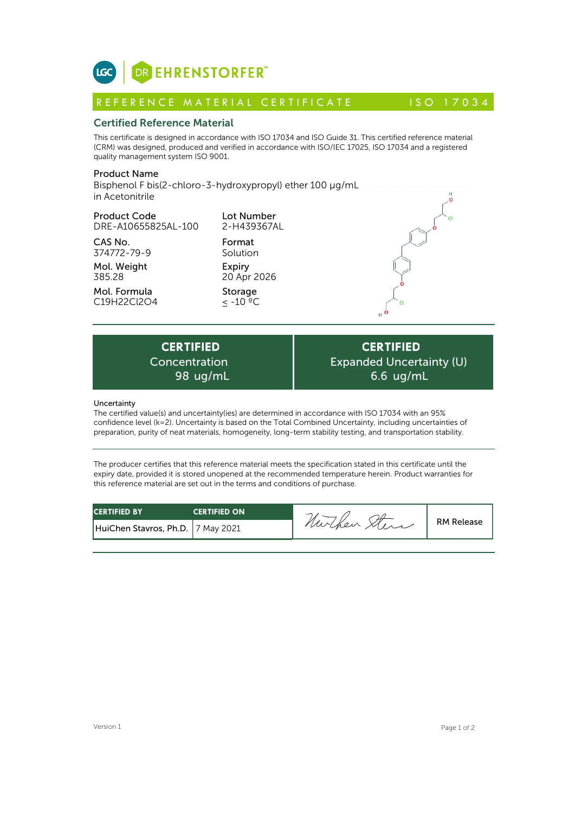

# Certified Reference Material

This certificate is designed in accordance with ISO 17034 and ISO Guide 31. This certified reference material (CRM) was designed, produced and verified in accordance with ISO/IEC 17025, ISO 17034 and a registered quality management system ISO 9001. **ICC**<br> **REFERENCE MATERIAL CERTIFICATE**<br> **REFERENCE MATERIAL CERTIFICATE** ISO 17034<br> **Certified Reference Material**<br>
CFIM) was designed, produced and verified in accordance with ISO 17034 and ISO Guide 31. This certified r

# Product Name

Bisphenol F bis(2-chloro-3-hydroxypropyl) ether 100 µg/mL in Acetonitrile

# Product Code

DRE-A10655825AL-100

CAS No. 374772-79-9

Mol. Weight 385.28

Mol. Formula C19H22Cl2O4 2-H439367AL Format Solution Expiry

Lot Number

20 Apr 2026 Storage

≤ -10 ºC



Expiry<br>
20 Apr 2026<br>
Storage<br>  $\leq -10^{-2}C$ <br>
RTIFIED<br>
centration Exp<br>
98 ug/mL<br>
duncataint/(ice) are determined in accordance Concentration

**CERTIFIED** Expanded Uncertainty (U) 6.6 ug/mL

## Uncertainty

The certified value(s) and uncertainty(ies) are determined in accordance with ISO 17034 with an 95% confidence level (k=2). Uncertainty is based on the Total Combined Uncertainty, including uncertainties of preparation, purity of neat materials, homogeneity, long-term stability testing, and transportation stability.

The producer certifies that this reference material meets the specification stated in this certificate until the expiry date, provided it is stored unopened at the recommended temperature herein. Product warranties for this reference material are set out in the terms and conditions of purchase.

| <b>CERTIFIED BY</b>               | <b>CERTIFIED ON</b> | -<br><b>RM Release</b><br>nurchen |  |
|-----------------------------------|---------------------|-----------------------------------|--|
| HuiChen Stavros, Ph.D. 7 May 2021 |                     |                                   |  |